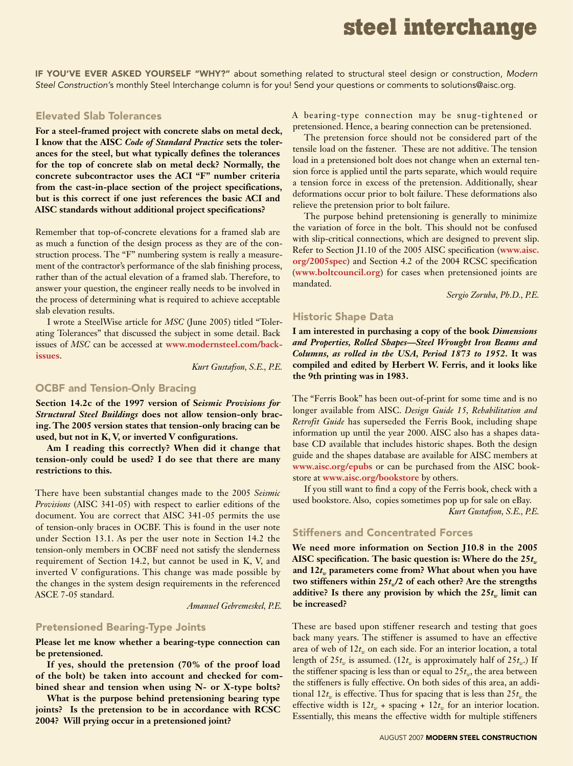## **steel interchange**

If you've ever asked yourself "why?" about something related to structural steel design or construction, *Modern Steel Construction'*s monthly Steel Interchange column is for you! Send your questions or comments to solutions@aisc.org.

## Elevated Slab Tolerances

**For a steel-framed project with concrete slabs on metal deck, I know that the AISC** *Code of Standard Practice* **sets the tolerances for the steel, but what typically defines the tolerances for the top of concrete slab on metal deck? Normally, the concrete subcontractor uses the ACI "F" number criteria from the cast-in-place section of the project specifications, but is this correct if one just references the basic ACI and AISC standards without additional project specifications?**

Remember that top-of-concrete elevations for a framed slab are as much a function of the design process as they are of the construction process. The "F" numbering system is really a measurement of the contractor's performance of the slab finishing process, rather than of the actual elevation of a framed slab. Therefore, to answer your question, the engineer really needs to be involved in the process of determining what is required to achieve acceptable slab elevation results.

I wrote a SteelWise article for *MSC* (June 2005) titled "Tolerating Tolerances" that discussed the subject in some detail. Back issues of *MSC* can be accessed at **www.modernsteel.com/backissues**.

*Kurt Gustafson, S.E., P.E.*

## OCBF and Tension-Only Bracing

**Section 14.2c of the 1997 version of S***eismic Provisions for Structural Steel Buildings* **does not allow tension-only bracing. The 2005 version states that tension-only bracing can be used, but not in K, V, or inverted V configurations.**

**Am I reading this correctly? When did it change that tension-only could be used? I do see that there are many restrictions to this.**

There have been substantial changes made to the 2005 *Seismic Provisions* (AISC 341-05) with respect to earlier editions of the document. You are correct that AISC 341-05 permits the use of tension-only braces in OCBF. This is found in the user note under Section 13.1. As per the user note in Section 14.2 the tension-only members in OCBF need not satisfy the slenderness requirement of Section 14.2, but cannot be used in K, V, and inverted V configurations. This change was made possible by the changes in the system design requirements in the referenced ASCE 7-05 standard.

*Amanuel Gebremeskel, P.E.*

#### Pretensioned Bearing-Type Joints

**Please let me know whether a bearing-type connection can be pretensioned.** 

**If yes, should the pretension (70% of the proof load of the bolt) be taken into account and checked for combined shear and tension when using N- or X-type bolts?** 

**What is the purpose behind pretensioning bearing type joints? Is the pretension to be in accordance with RCSC 2004? Will prying occur in a pretensioned joint?**

A bearing-type connection may be snug-tightened or pretensioned. Hence, a bearing connection can be pretensioned.

The pretension force should not be considered part of the tensile load on the fastener. These are not additive. The tension load in a pretensioned bolt does not change when an external tension force is applied until the parts separate, which would require a tension force in excess of the pretension. Additionally, shear deformations occur prior to bolt failure. These deformations also relieve the pretension prior to bolt failure.

The purpose behind pretensioning is generally to minimize the variation of force in the bolt. This should not be confused with slip-critical connections, which are designed to prevent slip. Refer to Section J1.10 of the 2005 AISC specification (**www.aisc. org/2005spec**) and Section 4.2 of the 2004 RCSC specification (**www.boltcouncil.org**) for cases when pretensioned joints are mandated.

*Sergio Zoruba, Ph.D., P.E.*

### Historic Shape Data

**I am interested in purchasing a copy of the book** *Dimensions and Properties, Rolled Shapes—Steel Wrought Iron Beams and Columns, as rolled in the USA, Period 1873 to 1952***. It was compiled and edited by Herbert W. Ferris, and it looks like the 9th printing was in 1983.**

The "Ferris Book" has been out-of-print for some time and is no longer available from AISC. *Design Guide 15, Rehabilitation and Retrofit Guide* has superseded the Ferris Book, including shape information up until the year 2000. AISC also has a shapes database CD available that includes historic shapes. Both the design guide and the shapes database are available for AISC members at **www.aisc.org/epubs** or can be purchased from the AISC bookstore at **www.aisc.org/bookstore** by others.

If you still want to find a copy of the Ferris book, check with a used bookstore. Also, copies sometimes pop up for sale on eBay. *Kurt Gustafson, S.E., P.E.*

#### Stiffeners and Concentrated Forces

**We need more information on Section J10.8 in the 2005**  AISC specification. The basic question is: Where do the 25*t<sub>w</sub>* and 12*t<sub>w</sub>* parameters come from? What about when you have two stiffeners within  $25t_{n}/2$  of each other? Are the strengths additive? Is there any provision by which the  $25t_w$  limit can **be increased?**

These are based upon stiffener research and testing that goes back many years. The stiffener is assumed to have an effective area of web of  $12t_m$  on each side. For an interior location, a total length of 25 $t_w$  is assumed. (12 $t_w$  is approximately half of 25 $t_w$ .) If the stiffener spacing is less than or equal to  $25t<sub>w</sub>$ , the area between the stiffeners is fully effective. On both sides of this area, an additional  $12t_w$  is effective. Thus for spacing that is less than  $25t_w$  the effective width is  $12t_w$  + spacing +  $12t_w$  for an interior location. Essentially, this means the effective width for multiple stiffeners